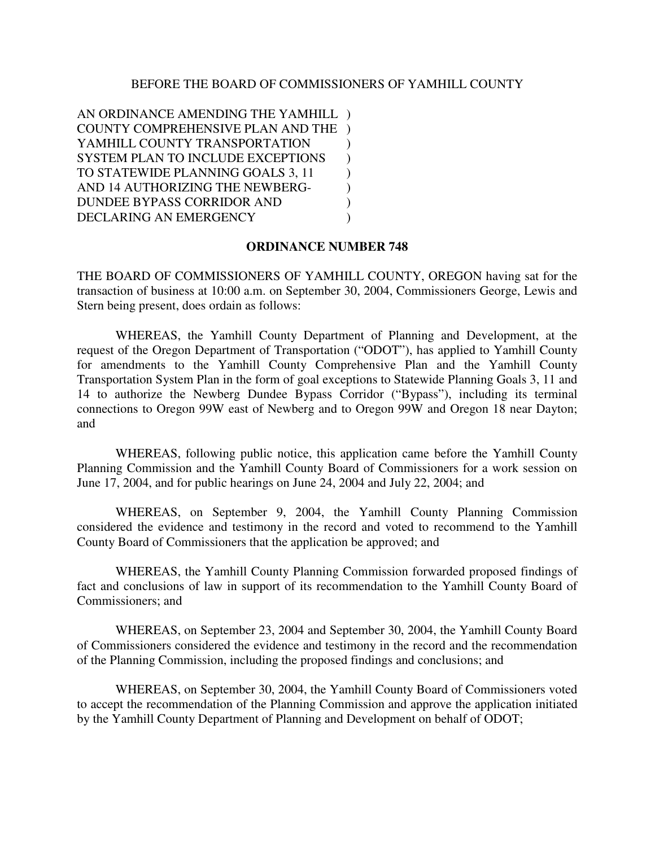## BEFORE THE BOARD OF COMMISSIONERS OF YAMHILL COUNTY

AN ORDINANCE AMENDING THE YAMHILL ) COUNTY COMPREHENSIVE PLAN AND THE ) YAMHILL COUNTY TRANSPORTATION  $\qquad$ ) SYSTEM PLAN TO INCLUDE EXCEPTIONS ) TO STATEWIDE PLANNING GOALS 3, 11 ) AND 14 AUTHORIZING THE NEWBERG-DUNDEE BYPASS CORRIDOR AND ) DECLARING AN EMERGENCY (1995)

## **ORDINANCE NUMBER 748**

THE BOARD OF COMMISSIONERS OF YAMHILL COUNTY, OREGON having sat for the transaction of business at 10:00 a.m. on September 30, 2004, Commissioners George, Lewis and Stern being present, does ordain as follows:

WHEREAS, the Yamhill County Department of Planning and Development, at the request of the Oregon Department of Transportation ("ODOT"), has applied to Yamhill County for amendments to the Yamhill County Comprehensive Plan and the Yamhill County Transportation System Plan in the form of goal exceptions to Statewide Planning Goals 3, 11 and 14 to authorize the Newberg Dundee Bypass Corridor ("Bypass"), including its terminal connections to Oregon 99W east of Newberg and to Oregon 99W and Oregon 18 near Dayton; and

WHEREAS, following public notice, this application came before the Yamhill County Planning Commission and the Yamhill County Board of Commissioners for a work session on June 17, 2004, and for public hearings on June 24, 2004 and July 22, 2004; and

WHEREAS, on September 9, 2004, the Yamhill County Planning Commission considered the evidence and testimony in the record and voted to recommend to the Yamhill County Board of Commissioners that the application be approved; and

WHEREAS, the Yamhill County Planning Commission forwarded proposed findings of fact and conclusions of law in support of its recommendation to the Yamhill County Board of Commissioners; and

WHEREAS, on September 23, 2004 and September 30, 2004, the Yamhill County Board of Commissioners considered the evidence and testimony in the record and the recommendation of the Planning Commission, including the proposed findings and conclusions; and

WHEREAS, on September 30, 2004, the Yamhill County Board of Commissioners voted to accept the recommendation of the Planning Commission and approve the application initiated by the Yamhill County Department of Planning and Development on behalf of ODOT;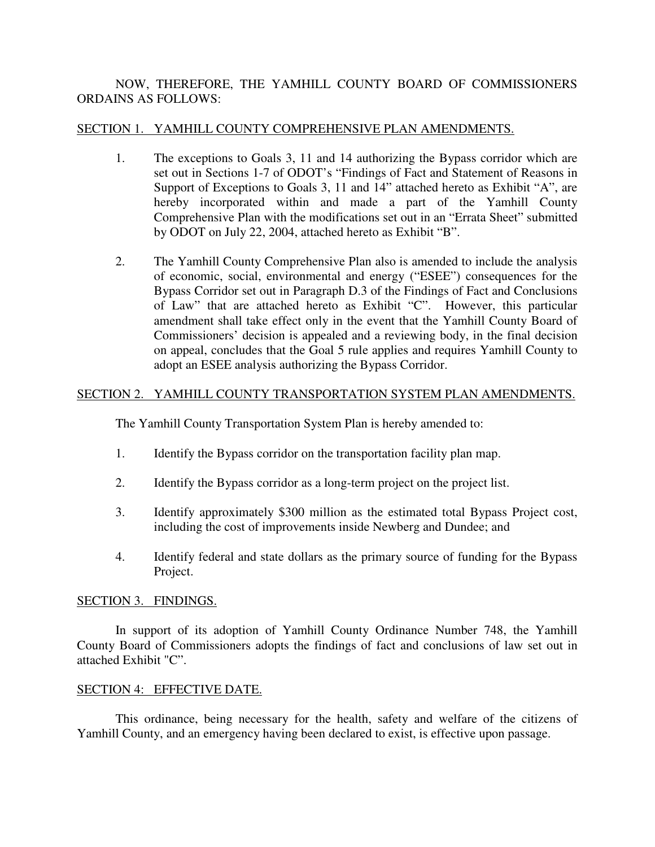# NOW, THEREFORE, THE YAMHILL COUNTY BOARD OF COMMISSIONERS ORDAINS AS FOLLOWS:

# SECTION 1. YAMHILL COUNTY COMPREHENSIVE PLAN AMENDMENTS.

- 1. The exceptions to Goals 3, 11 and 14 authorizing the Bypass corridor which are set out in Sections 1-7 of ODOT's "Findings of Fact and Statement of Reasons in Support of Exceptions to Goals 3, 11 and 14" attached hereto as Exhibit "A", are hereby incorporated within and made a part of the Yamhill County Comprehensive Plan with the modifications set out in an "Errata Sheet" submitted by ODOT on July 22, 2004, attached hereto as Exhibit "B".
- 2. The Yamhill County Comprehensive Plan also is amended to include the analysis of economic, social, environmental and energy ("ESEE") consequences for the Bypass Corridor set out in Paragraph D.3 of the Findings of Fact and Conclusions of Law" that are attached hereto as Exhibit "C". However, this particular amendment shall take effect only in the event that the Yamhill County Board of Commissioners' decision is appealed and a reviewing body, in the final decision on appeal, concludes that the Goal 5 rule applies and requires Yamhill County to adopt an ESEE analysis authorizing the Bypass Corridor.

## SECTION 2. YAMHILL COUNTY TRANSPORTATION SYSTEM PLAN AMENDMENTS.

The Yamhill County Transportation System Plan is hereby amended to:

- 1. Identify the Bypass corridor on the transportation facility plan map.
- 2. Identify the Bypass corridor as a long-term project on the project list.
- 3. Identify approximately \$300 million as the estimated total Bypass Project cost, including the cost of improvements inside Newberg and Dundee; and
- 4. Identify federal and state dollars as the primary source of funding for the Bypass Project.

## SECTION 3. FINDINGS.

In support of its adoption of Yamhill County Ordinance Number 748, the Yamhill County Board of Commissioners adopts the findings of fact and conclusions of law set out in attached Exhibit "C".

## SECTION 4: EFFECTIVE DATE.

This ordinance, being necessary for the health, safety and welfare of the citizens of Yamhill County, and an emergency having been declared to exist, is effective upon passage.